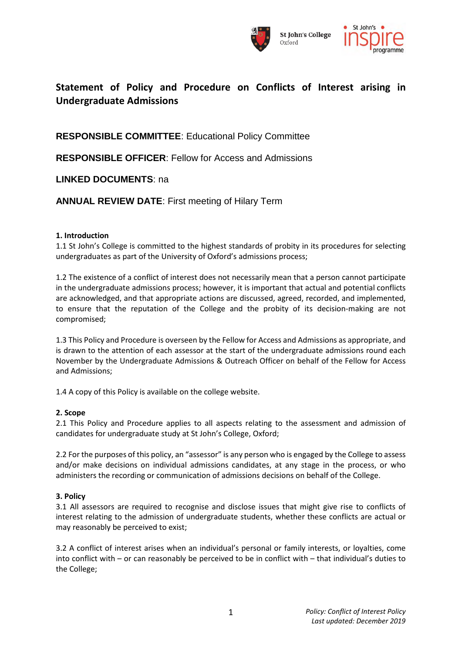



# **Statement of Policy and Procedure on Conflicts of Interest arising in Undergraduate Admissions**

**RESPONSIBLE COMMITTEE**: Educational Policy Committee

**RESPONSIBLE OFFICER**: Fellow for Access and Admissions

**LINKED DOCUMENTS**: na

**ANNUAL REVIEW DATE**: First meeting of Hilary Term

## **1. Introduction**

1.1 St John's College is committed to the highest standards of probity in its procedures for selecting undergraduates as part of the University of Oxford's admissions process;

1.2 The existence of a conflict of interest does not necessarily mean that a person cannot participate in the undergraduate admissions process; however, it is important that actual and potential conflicts are acknowledged, and that appropriate actions are discussed, agreed, recorded, and implemented, to ensure that the reputation of the College and the probity of its decision-making are not compromised;

1.3 This Policy and Procedure is overseen by the Fellow for Access and Admissions as appropriate, and is drawn to the attention of each assessor at the start of the undergraduate admissions round each November by the Undergraduate Admissions & Outreach Officer on behalf of the Fellow for Access and Admissions;

1.4 A copy of this Policy is available on the college website.

## **2. Scope**

2.1 This Policy and Procedure applies to all aspects relating to the assessment and admission of candidates for undergraduate study at St John's College, Oxford;

2.2 For the purposes of this policy, an "assessor" is any person who is engaged by the College to assess and/or make decisions on individual admissions candidates, at any stage in the process, or who administers the recording or communication of admissions decisions on behalf of the College.

## **3. Policy**

3.1 All assessors are required to recognise and disclose issues that might give rise to conflicts of interest relating to the admission of undergraduate students, whether these conflicts are actual or may reasonably be perceived to exist;

3.2 A conflict of interest arises when an individual's personal or family interests, or loyalties, come into conflict with – or can reasonably be perceived to be in conflict with – that individual's duties to the College;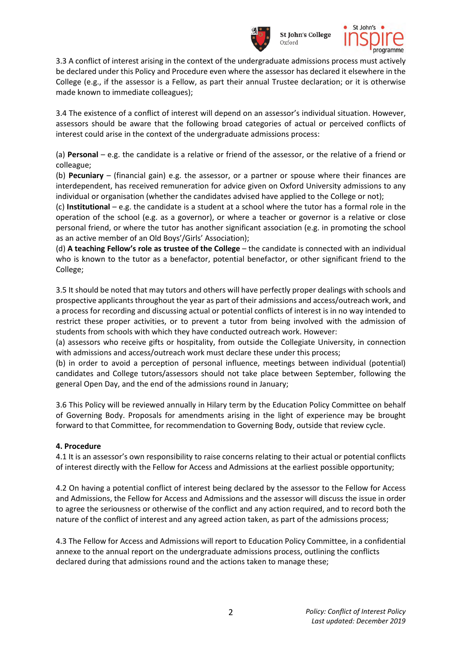

**St John's College** Ovford



3.3 A conflict of interest arising in the context of the undergraduate admissions process must actively be declared under this Policy and Procedure even where the assessor has declared it elsewhere in the College (e.g., if the assessor is a Fellow, as part their annual Trustee declaration; or it is otherwise made known to immediate colleagues);

3.4 The existence of a conflict of interest will depend on an assessor's individual situation. However, assessors should be aware that the following broad categories of actual or perceived conflicts of interest could arise in the context of the undergraduate admissions process:

(a) **Personal** – e.g. the candidate is a relative or friend of the assessor, or the relative of a friend or colleague;

(b) **Pecuniary** – (financial gain) e.g. the assessor, or a partner or spouse where their finances are interdependent, has received remuneration for advice given on Oxford University admissions to any individual or organisation (whether the candidates advised have applied to the College or not);

(c) **Institutional** – e.g. the candidate is a student at a school where the tutor has a formal role in the operation of the school (e.g. as a governor), or where a teacher or governor is a relative or close personal friend, or where the tutor has another significant association (e.g. in promoting the school as an active member of an Old Boys'/Girls' Association);

(d) **A teaching Fellow's role as trustee of the College** – the candidate is connected with an individual who is known to the tutor as a benefactor, potential benefactor, or other significant friend to the College;

3.5 It should be noted that may tutors and others will have perfectly proper dealings with schools and prospective applicants throughout the year as part of their admissions and access/outreach work, and a process for recording and discussing actual or potential conflicts of interest is in no way intended to restrict these proper activities, or to prevent a tutor from being involved with the admission of students from schools with which they have conducted outreach work. However:

(a) assessors who receive gifts or hospitality, from outside the Collegiate University, in connection with admissions and access/outreach work must declare these under this process;

(b) in order to avoid a perception of personal influence, meetings between individual (potential) candidates and College tutors/assessors should not take place between September, following the general Open Day, and the end of the admissions round in January;

3.6 This Policy will be reviewed annually in Hilary term by the Education Policy Committee on behalf of Governing Body. Proposals for amendments arising in the light of experience may be brought forward to that Committee, for recommendation to Governing Body, outside that review cycle.

## **4. Procedure**

4.1 It is an assessor's own responsibility to raise concerns relating to their actual or potential conflicts of interest directly with the Fellow for Access and Admissions at the earliest possible opportunity;

4.2 On having a potential conflict of interest being declared by the assessor to the Fellow for Access and Admissions, the Fellow for Access and Admissions and the assessor will discuss the issue in order to agree the seriousness or otherwise of the conflict and any action required, and to record both the nature of the conflict of interest and any agreed action taken, as part of the admissions process;

4.3 The Fellow for Access and Admissions will report to Education Policy Committee, in a confidential annexe to the annual report on the undergraduate admissions process, outlining the conflicts declared during that admissions round and the actions taken to manage these;